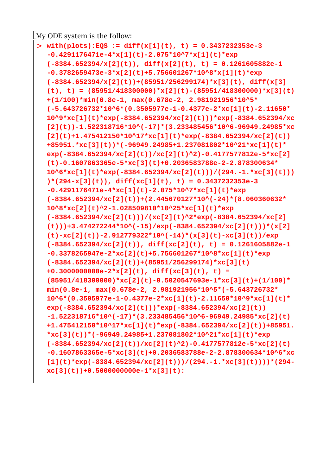My ODE system is the follow:

```
O
with(plots):EQS := diff(x[1](t), t) = 0.3437232353e-3
  -0.4291176471e-4*x[1](t)-2.075*10^7*x[1](t)*exp
  (-8384.652394/x[2](t)), diff(x[2](t), t) = 0.1261605882e-1
  -0.3782659473e-3*x[2](t)+5.756601267*10^8*x[1](t)*exp
  (-8384.652394/x[2](t))+(85951/256299174)*x[3](t), diff(x[3]
  (t), t) = (85951/418300000)*x[2](t)-(85951/418300000)*x[3](t)
  +(1/100)*min(0.8e-1, max(0.678e-2, 2.981921956*10^5*
  (-5.643726732*10^6*(0.3505977e-1-0.4377e-2*xc[1](t)-2.11650*
  10^9*xc[1](t)*exp(-8384.652394/xc[2](t)))*exp(-8384.652394/xc
  [2](t))-1.522318716*10^(-17)*(3.233485456*10^6-96949.24985*xc
  [2](t)+1.475412150*10^17*xc[1](t)*exp(-8384.652394/xc[2](t))
  +85951.*xc[3](t))*(-96949.24985+1.237081802*10^21*xc[1](t)*
  exp(-8384.652394/xc[2](t))/xc[2](t)^2)-0.4177577812e-5*xc[2]
  (t)-0.1607863365e-5*xc[3](t)+0.2036583788e-2-2.878300634*
  10^6*xc[1](t)*exp(-8384.652394/xc[2](t)))/(294.-1.*xc[3](t)))
  )*(294-x[3](t)), diff(xc[1](t), t) = 0.3437232353e-3
  -0.4291176471e-4*xc[1](t)-2.075*10^7*xc[1](t)*exp
  (-8384.652394/xc[2](t))+(2.445670127*10^(-24)*(8.060360632*
  10^8*xc[2](t)^2-1.028509810*10^25*xc[1](t)*exp
  (-8384.652394/xc[2](t)))/(xc[2](t)^2*exp(-8384.652394/xc[2]
  (t)))+3.474272244*10^(-15)/exp(-8384.652394/xc[2](t)))*(x[2]
  (t)-xc[2](t))-2.912779322*10^(-14)*(x[3](t)-xc[3](t))/exp
  (-8384.652394/xc[2](t)), diff(xc[2](t), t) = 0.1261605882e-1
  -0.3378265947e-2*xc[2](t)+5.756601267*10^8*xc[1](t)*exp
  (-8384.652394/xc[2](t))+(85951/256299174)*xc[3](t)
  +0.3000000000e-2*x[2](t), diff(xc[3](t), t) = 
  (85951/418300000)*xc[2](t)-0.5020547693e-1*xc[3](t)+(1/100)*
  min(0.8e-1, max(0.678e-2, 2.981921956*10^5*(-5.643726732*
  10^6*(0.3505977e-1-0.4377e-2*xc[1](t)-2.11650*10^9*xc[1](t)*
  exp(-8384.652394/xc[2](t)))*exp(-8384.652394/xc[2](t))
  -1.522318716*10^(-17)*(3.233485456*10^6-96949.24985*xc[2](t)
  +1.475412150*10^17*xc[1](t)*exp(-8384.652394/xc[2](t))+85951.
  *xc[3](t))*(-96949.24985+1.237081802*10^21*xc[1](t)*exp
  (-8384.652394/xc[2](t))/xc[2](t)^2)-0.4177577812e-5*xc[2](t)
  -0.1607863365e-5*xc[3](t)+0.2036583788e-2-2.878300634*10^6*xc
  [1](t)*exp(-8384.652394/xc[2](t)))/(294.-1.*xc[3](t))))*(294-
  xc[3](t))+0.5000000000e-1*x[3](t):
```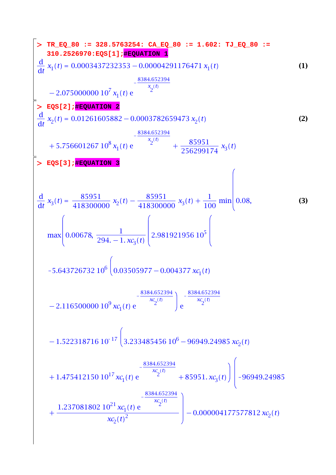$\begin{array}{c} \hline \end{array}$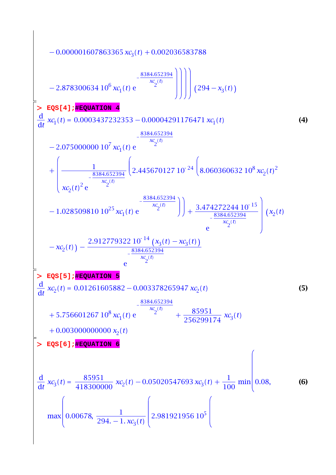$$
-0.000001607863365 x9(t) + 0.002036583788
$$
\n
$$
-2.878300634 106 x4(t) e
$$
\n
$$
-2.878300634 106 x4(t) e
$$
\n
$$
-2.878300634 106 x4(t) e
$$
\n
$$
\frac{3884.652394}{x2(t)}
$$
\n
$$
\frac{d}{dt} x1(t) = 0.0003437232353 - 0.00004291176471 x c1(t)
$$
\n
$$
+ \left(\frac{3.884.652394}{x2 (t)} e^{-\frac{8384.652394}{x2 (t)}} \left(2.445670127 10^{-24} \left(8.060360632 108 xc2(t)2\right) -1.028509810 1025 xc1(t) e^{-\frac{8384.652394}{x2 (t)}} \right) + \frac{3.474272244 10^{-15}}{8.884.652394} \left( x2(t) -1.028509810 1025 xc1(t) e^{-\frac{8384.652394}{x2 (t)}} e^{-\frac{8384.652394}{x2 (t)}} e^{-\frac{8384.652394}{x2 (t)}} e^{-\frac{8384.652394}{x2 (t)}} e^{-\frac{8384.652394}{x2 (t)}}
$$
\n
$$
+ 5.756601267 108 x4(t) e^{-\frac{8384.652394}{x<
$$

 $\overline{\phantom{a}}$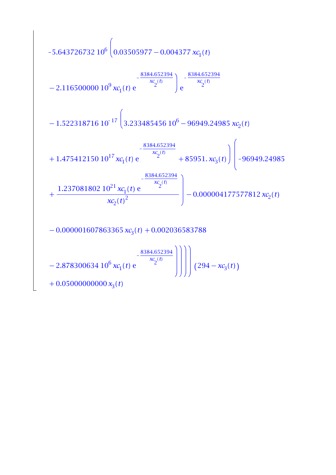$$
-5.643726732 106 \left( 0.03505977 - 0.004377 x c1(t) \right)
$$
  

$$
-2.116500000 109 x c1(t) e
$$
  

$$
-1.522318716 10-17 \left( 3.233485456 106 - 96949.24985 x c2(t) \right)
$$
  

$$
+1.475412150 1017 x c1(t) e
$$
  

$$
+ \frac{8384.652394}{x c2(t)} + 85951 x c3(t) \left( -96949.24985 \right)
$$
  

$$
+ \frac{1.237081802 1021 x c1(t) e}{x c2(t)^2} -0.000004177577812 x c2(t)
$$
  

$$
-0.000001607863365 x c3(t) + 0.002036583788
$$
  

$$
-2.878300634 106 x c1(t) e
$$
  

$$
+ \frac{8384.652394}{x c2(t)}
$$
  

$$
+ 0.050000000000 x3(t)
$$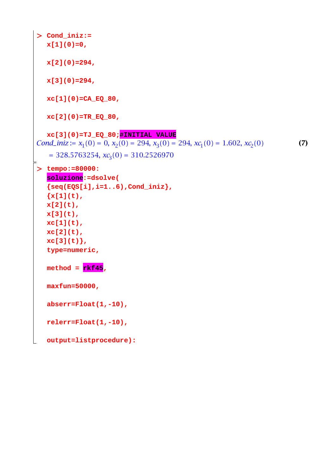```
O
tempo:=80000:
> Cond_iniz:=
                                                                           (7)
  x[1](0)=0, 
  x[2](0)=294, 
  x[3](0)=294, 
  xc[1](0)=CA_EQ_80, 
  xc[2](0)=TR_EQ_80, 
  xc[3](0)=TJ_EQ_80;#INITIAL VALUE
Cond_iniz := x_1(0) = 0, x_2(0) = 294, x_3(0) = 294, xc_1(0) = 1.602, xc_2(0)= 328.5763254, xc<sub>3</sub>(0) = 310.2526970soluzione:=dsolve(
  {seq(EQS[i],i=1..6),Cond_iniz}, 
  {x[1](t)}x[2](t), 
  x[3](t), 
  xc[1](t), 
  xc[2](t), 
  xc[3](t)},
  type=numeric, 
  \text{method} = \text{rkf45},
  maxfun=50000, 
  abserr=Float(1,-10), 
  relerr=Float(1,-10), 
  output=listprocedure):
```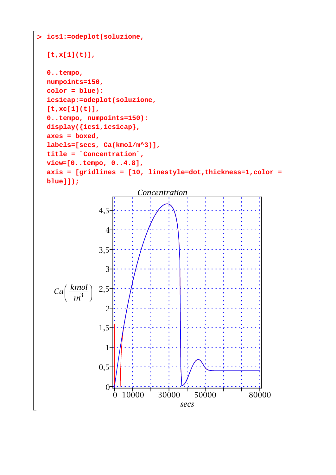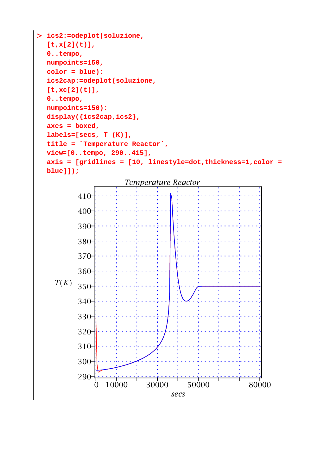```
O ics2:=odeplot(soluzione, 
  [t,x[2](t)], 
  0..tempo, 
  numpoints=150,
  color = blue):
  ics2cap:=odeplot(soluzione, 
  [t,xc[2](t)], 
  0..tempo, 
  numpoints=150):
  display({ics2cap,ics2},
  axes = boxed,
  labels=[secs, T (K)],
  title = `Temperature Reactor`,
  view=[0..tempo, 290..415],
  axis = [gridlines = [10, linestyle=dot,thickness=1,color = 
  blue]]);
```
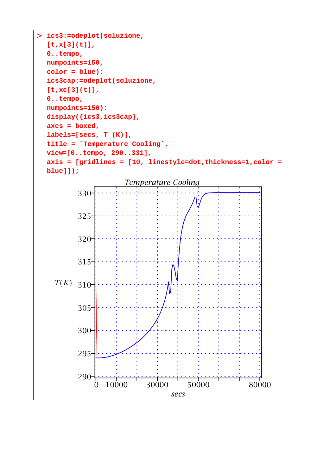```
O ics3:=odeplot(soluzione, 
  [t,x[3](t)], 
  0..tempo, 
  numpoints=150,
  color = blue):
  ics3cap:=odeplot(soluzione, 
  [t,xc[3](t)], 
  0..tempo, 
  numpoints=150):
  display({ics3,ics3cap},
  axes = boxed,
  labels=[secs, T (K)],
  title = `Temperature Cooling`,
  view=[0..tempo, 290..331],
  axis = [gridlines = [10, linestyle=dot,thickness=1,color = 
  blue]]);
```